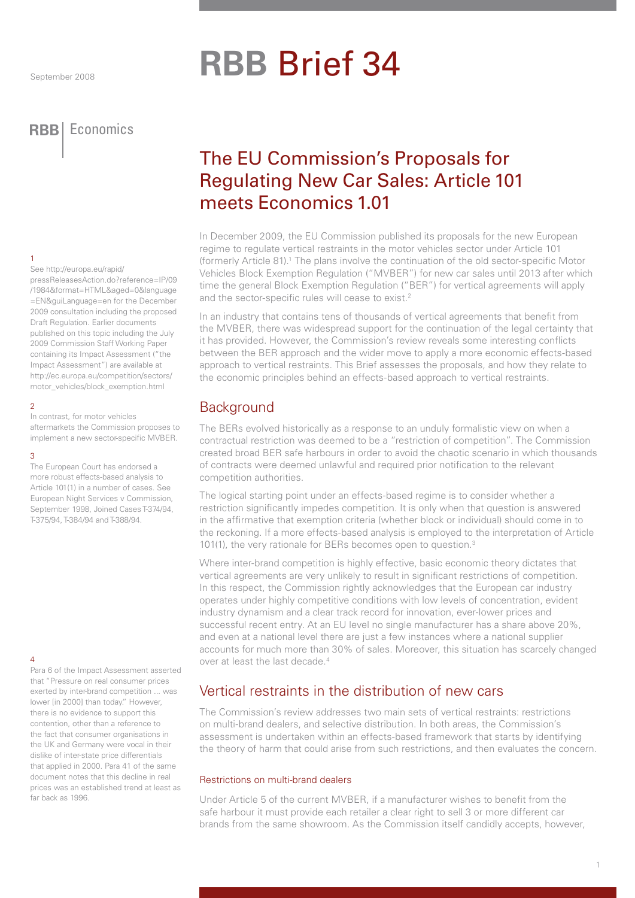# **RBB** Brief 34

# **RBB** Economics

#### 1

See http://europa.eu/rapid/

pressReleasesAction.do?reference=IP/09 /1984&format=HTML&aged=0&language =EN&guiLanguage=en for the December 2009 consultation including the proposed Draft Regulation. Earlier documents published on this topic including the July 2009 Commission Staff Working Paper containing its Impact Assessment ("the Impact Assessment") are available at http://ec.europa.eu/competition/sectors/ motor\_vehicles/block\_exemption.html

#### $\overline{2}$

In contrast, for motor vehicles aftermarkets the Commission proposes to implement a new sector-specific MVBER.

#### 3

The European Court has endorsed a more robust effects-based analysis to Article 101(1) in a number of cases. See European Night Services v Commission, September 1998, Joined Cases T-374/94, T-375/94, T-384/94 and T-388/94.

#### $\overline{A}$

Para 6 of the Impact Assessment asserted that "Pressure on real consumer prices exerted by inter-brand competition ... was lower [in 2000] than today." However, there is no evidence to support this contention, other than a reference to the fact that consumer organisations in the UK and Germany were vocal in their dislike of inter-state price differentials that applied in 2000. Para 41 of the same document notes that this decline in real prices was an established trend at least as far back as 1996.

# The EU Commission's Proposals for Regulating New Car Sales: Article 101 meets Economics 1.01

In December 2009, the EU Commission published its proposals for the new European regime to regulate vertical restraints in the motor vehicles sector under Article 101 (formerly Article 81).1 The plans involve the continuation of the old sector-specific Motor Vehicles Block Exemption Regulation ("MVBER") for new car sales until 2013 after which time the general Block Exemption Regulation ("BER") for vertical agreements will apply and the sector-specific rules will cease to exist.<sup>2</sup>

In an industry that contains tens of thousands of vertical agreements that benefit from the MVBER, there was widespread support for the continuation of the legal certainty that it has provided. However, the Commission's review reveals some interesting conflicts between the BER approach and the wider move to apply a more economic effects-based approach to vertical restraints. This Brief assesses the proposals, and how they relate to the economic principles behind an effects-based approach to vertical restraints.

## **Background**

The BERs evolved historically as a response to an unduly formalistic view on when a contractual restriction was deemed to be a "restriction of competition". The Commission created broad BER safe harbours in order to avoid the chaotic scenario in which thousands of contracts were deemed unlawful and required prior notification to the relevant competition authorities.

The logical starting point under an effects-based regime is to consider whether a restriction significantly impedes competition. It is only when that question is answered in the affirmative that exemption criteria (whether block or individual) should come in to the reckoning. If a more effects-based analysis is employed to the interpretation of Article 101(1), the very rationale for BERs becomes open to question.<sup>3</sup>

Where inter-brand competition is highly effective, basic economic theory dictates that vertical agreements are very unlikely to result in significant restrictions of competition. In this respect, the Commission rightly acknowledges that the European car industry operates under highly competitive conditions with low levels of concentration, evident industry dynamism and a clear track record for innovation, ever-lower prices and successful recent entry. At an EU level no single manufacturer has a share above 20%, and even at a national level there are just a few instances where a national supplier accounts for much more than 30% of sales. Moreover, this situation has scarcely changed over at least the last decade.<sup>4</sup>

## Vertical restraints in the distribution of new cars

The Commission's review addresses two main sets of vertical restraints: restrictions on multi-brand dealers, and selective distribution. In both areas, the Commission's assessment is undertaken within an effects-based framework that starts by identifying the theory of harm that could arise from such restrictions, and then evaluates the concern.

#### Restrictions on multi-brand dealers

Under Article 5 of the current MVBER, if a manufacturer wishes to benefit from the safe harbour it must provide each retailer a clear right to sell 3 or more different car brands from the same showroom. As the Commission itself candidly accepts, however,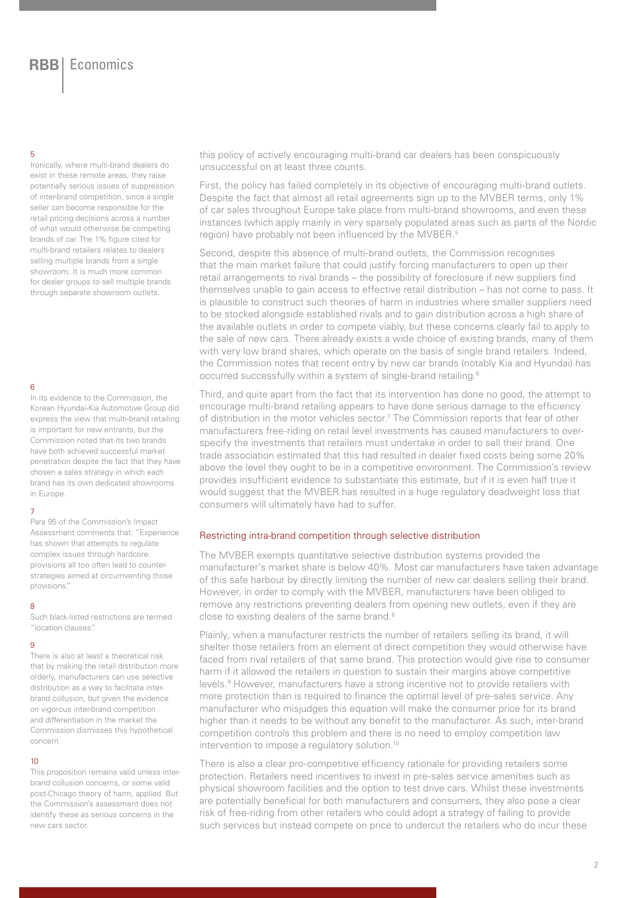#### 5

Ironically, where multi-brand dealers do exist in these remote areas, they raise potentially serious issues of suppression of inter-brand competition, since a single seller can become responsible for the retail pricing decisions across a number of what would otherwise be competing brands of car. The 1% figure cited for multi-brand retailers relates to dealers selling multiple brands from a single showroom. It is much more common for dealer groups to sell multiple brands through separate showroom outlets.

#### 6

In its evidence to the Commission, the Korean Hyundai-Kia Automotive Group did express the view that multi-brand retailing is important for new entrants, but the Commission noted that its two brands have both achieved successful market penetration despite the fact that they have chosen a sales strategy in which each brand has its own dedicated showrooms in Europe.

#### 7

Para 95 of the Commission's Impact Assessment comments that: "Experience has shown that attempts to regulate complex issues through hardcore provisions all too often lead to counterstrategies aimed at circumventing those provisions."

#### 8

Such black-listed restrictions are termed "location clauses".

#### 9

There is also at least a theoretical risk that by making the retail distribution more orderly, manufacturers can use selective distribution as a way to facilitate interbrand collusion, but given the evidence on vigorous inter-brand competition and differentiation in the market the Commission dismisses this hypothetical concern.

#### 10

This proposition remains valid unless interbrand collusion concerns, or some valid post-Chicago theory of harm, applied. But the Commission's assessment does not identify these as serious concerns in the new cars sector.

this policy of actively encouraging multi-brand car dealers has been conspicuously unsuccessful on at least three counts.

First, the policy has failed completely in its objective of encouraging multi-brand outlets. Despite the fact that almost all retail agreements sign up to the MVBER terms, only 1% of car sales throughout Europe take place from multi-brand showrooms, and even these instances (which apply mainly in very sparsely populated areas such as parts of the Nordic region) have probably not been influenced by the MVBER.<sup>5</sup>

Second, despite this absence of multi-brand outlets, the Commission recognises that the main market failure that could justify forcing manufacturers to open up their retail arrangements to rival brands – the possibility of foreclosure if new suppliers find themselves unable to gain access to effective retail distribution – has not come to pass. It is plausible to construct such theories of harm in industries where smaller suppliers need to be stocked alongside established rivals and to gain distribution across a high share of the available outlets in order to compete viably, but these concerns clearly fail to apply to the sale of new cars. There already exists a wide choice of existing brands, many of them with very low brand shares, which operate on the basis of single brand retailers. Indeed, the Commission notes that recent entry by new car brands (notably Kia and Hyundai) has occurred successfully within a system of single-brand retailing.6

Third, and quite apart from the fact that its intervention has done no good, the attempt to encourage multi-brand retailing appears to have done serious damage to the efficiency of distribution in the motor vehicles sector.<sup>7</sup> The Commission reports that fear of other manufacturers free-riding on retail level investments has caused manufacturers to overspecify the investments that retailers must undertake in order to sell their brand. One trade association estimated that this had resulted in dealer fixed costs being some 20% above the level they ought to be in a competitive environment. The Commission's review provides insufficient evidence to substantiate this estimate, but if it is even half true it would suggest that the MVBER has resulted in a huge regulatory deadweight loss that consumers will ultimately have had to suffer.

#### Restricting intra-brand competition through selective distribution

The MVBER exempts quantitative selective distribution systems provided the manufacturer's market share is below 40%. Most car manufacturers have taken advantage of this safe harbour by directly limiting the number of new car dealers selling their brand. However, in order to comply with the MVBER, manufacturers have been obliged to remove any restrictions preventing dealers from opening new outlets, even if they are close to existing dealers of the same brand.<sup>8</sup>

Plainly, when a manufacturer restricts the number of retailers selling its brand, it will shelter those retailers from an element of direct competition they would otherwise have faced from rival retailers of that same brand. This protection would give rise to consumer harm if it allowed the retailers in question to sustain their margins above competitive levels.<sup>9</sup> However, manufacturers have a strong incentive not to provide retailers with more protection than is required to finance the optimal level of pre-sales service. Any manufacturer who misjudges this equation will make the consumer price for its brand higher than it needs to be without any benefit to the manufacturer. As such, inter-brand competition controls this problem and there is no need to employ competition law intervention to impose a regulatory solution.10

There is also a clear pro-competitive efficiency rationale for providing retailers some protection. Retailers need incentives to invest in pre-sales service amenities such as physical showroom facilities and the option to test drive cars. Whilst these investments are potentially beneficial for both manufacturers and consumers, they also pose a clear risk of free-riding from other retailers who could adopt a strategy of failing to provide such services but instead compete on price to undercut the retailers who do incur these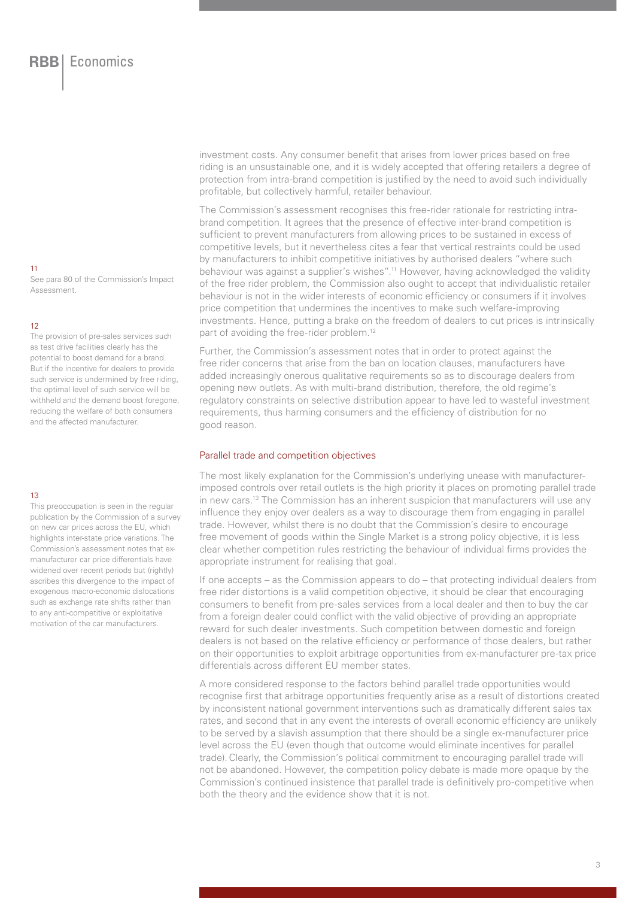11

See para 80 of the Commission's Impact Assessment.

#### 12

The provision of pre-sales services such as test drive facilities clearly has the potential to boost demand for a brand. But if the incentive for dealers to provide such service is undermined by free riding, the optimal level of such service will be withheld and the demand boost foregone, reducing the welfare of both consumers and the affected manufacturer.

#### 13

This preoccupation is seen in the regular publication by the Commission of a survey on new car prices across the EU, which highlights inter-state price variations. The Commission's assessment notes that exmanufacturer car price differentials have widened over recent periods but (rightly) ascribes this divergence to the impact of exogenous macro-economic dislocations such as exchange rate shifts rather than to any anti-competitive or exploitative motivation of the car manufacturers.

investment costs. Any consumer benefit that arises from lower prices based on free riding is an unsustainable one, and it is widely accepted that offering retailers a degree of protection from intra-brand competition is justified by the need to avoid such individually profitable, but collectively harmful, retailer behaviour.

The Commission's assessment recognises this free-rider rationale for restricting intrabrand competition. It agrees that the presence of effective inter-brand competition is sufficient to prevent manufacturers from allowing prices to be sustained in excess of competitive levels, but it nevertheless cites a fear that vertical restraints could be used by manufacturers to inhibit competitive initiatives by authorised dealers "where such behaviour was against a supplier's wishes".<sup>11</sup> However, having acknowledged the validity of the free rider problem, the Commission also ought to accept that individualistic retailer behaviour is not in the wider interests of economic efficiency or consumers if it involves price competition that undermines the incentives to make such welfare-improving investments. Hence, putting a brake on the freedom of dealers to cut prices is intrinsically part of avoiding the free-rider problem.<sup>12</sup>

Further, the Commission's assessment notes that in order to protect against the free rider concerns that arise from the ban on location clauses, manufacturers have added increasingly onerous qualitative requirements so as to discourage dealers from opening new outlets. As with multi-brand distribution, therefore, the old regime's regulatory constraints on selective distribution appear to have led to wasteful investment requirements, thus harming consumers and the efficiency of distribution for no good reason.

#### Parallel trade and competition objectives

The most likely explanation for the Commission's underlying unease with manufacturerimposed controls over retail outlets is the high priority it places on promoting parallel trade in new cars.<sup>13</sup> The Commission has an inherent suspicion that manufacturers will use any influence they enjoy over dealers as a way to discourage them from engaging in parallel trade. However, whilst there is no doubt that the Commission's desire to encourage free movement of goods within the Single Market is a strong policy objective, it is less clear whether competition rules restricting the behaviour of individual firms provides the appropriate instrument for realising that goal.

If one accepts – as the Commission appears to do – that protecting individual dealers from free rider distortions is a valid competition objective, it should be clear that encouraging consumers to benefit from pre-sales services from a local dealer and then to buy the car from a foreign dealer could conflict with the valid objective of providing an appropriate reward for such dealer investments. Such competition between domestic and foreign dealers is not based on the relative efficiency or performance of those dealers, but rather on their opportunities to exploit arbitrage opportunities from ex-manufacturer pre-tax price differentials across different EU member states.

A more considered response to the factors behind parallel trade opportunities would recognise first that arbitrage opportunities frequently arise as a result of distortions created by inconsistent national government interventions such as dramatically different sales tax rates, and second that in any event the interests of overall economic efficiency are unlikely to be served by a slavish assumption that there should be a single ex-manufacturer price level across the EU (even though that outcome would eliminate incentives for parallel trade).Clearly, the Commission's political commitment to encouraging parallel trade will not be abandoned. However, the competition policy debate is made more opaque by the Commission's continued insistence that parallel trade is definitively pro-competitive when both the theory and the evidence show that it is not.